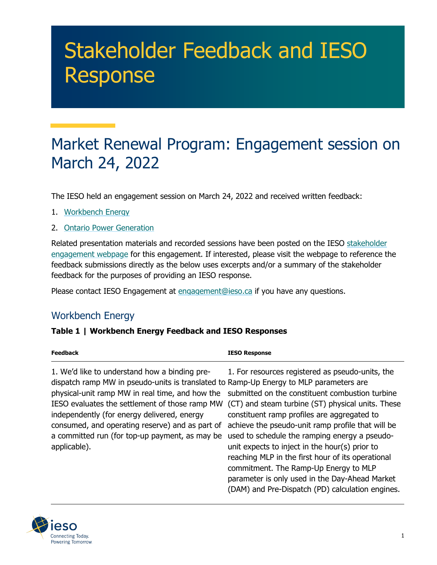# Stakeholder Feedback and IESO Response

## Market Renewal Program: Engagement session on March 24, 2022

The IESO held an engagement session on March 24, 2022 and received written feedback:

- 1. [Workbench Energy](https://ieso.ca/-/media/Files/IESO/Document-Library/engage/imrm/mrpi-20220415-dis-workbench-energy.ashx)
- 2. [Ontario Power Generation](https://ieso.ca/-/media/Files/IESO/Document-Library/engage/imrm/mrpi-20220415-dis-ontario-power-generation.ashx)

Related presentation materials and recorded sessions have been posted on the IESO [stakeholder](https://ieso.ca/en/Market-Renewal/Stakeholder-Engagements/Implementation-Engagement-Market-Rules-and-Market-Manuals)  [engagement webpage](https://ieso.ca/en/Market-Renewal/Stakeholder-Engagements/Implementation-Engagement-Market-Rules-and-Market-Manuals) for this engagement. If interested, please visit the webpage to reference the feedback submissions directly as the below uses excerpts and/or a summary of the stakeholder feedback for the purposes of providing an IESO response.

Please contact IESO Engagement at [engagement@ieso.ca](mailto:engagement@ieso.ca) if you have any questions.

### Workbench Energy

#### **Table 1 | Workbench Energy Feedback and IESO Responses**

| <b>Feedback</b>                                                                                                                                                                                                                                                                                                                                                                                                  | <b>IESO Response</b>                                                                                                                                                                                                                                                                                                                                                                                                                                                                                                                                                |
|------------------------------------------------------------------------------------------------------------------------------------------------------------------------------------------------------------------------------------------------------------------------------------------------------------------------------------------------------------------------------------------------------------------|---------------------------------------------------------------------------------------------------------------------------------------------------------------------------------------------------------------------------------------------------------------------------------------------------------------------------------------------------------------------------------------------------------------------------------------------------------------------------------------------------------------------------------------------------------------------|
| 1. We'd like to understand how a binding pre-<br>dispatch ramp MW in pseudo-units is translated to Ramp-Up Energy to MLP parameters are<br>physical-unit ramp MW in real time, and how the<br>IESO evaluates the settlement of those ramp MW<br>independently (for energy delivered, energy<br>consumed, and operating reserve) and as part of<br>a committed run (for top-up payment, as may be<br>applicable). | 1. For resources registered as pseudo-units, the<br>submitted on the constituent combustion turbine<br>(CT) and steam turbine (ST) physical units. These<br>constituent ramp profiles are aggregated to<br>achieve the pseudo-unit ramp profile that will be<br>used to schedule the ramping energy a pseudo-<br>unit expects to inject in the hour(s) prior to<br>reaching MLP in the first hour of its operational<br>commitment. The Ramp-Up Energy to MLP<br>parameter is only used in the Day-Ahead Market<br>(DAM) and Pre-Dispatch (PD) calculation engines. |

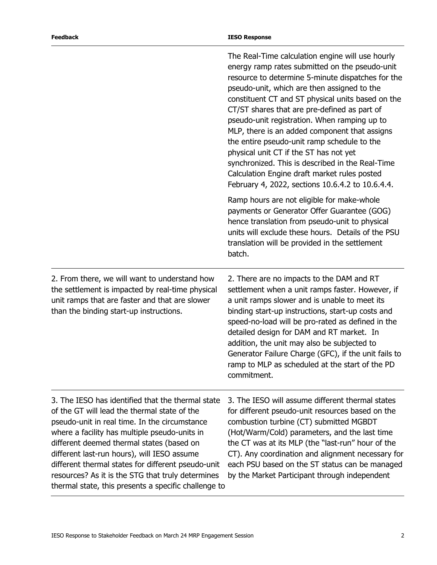|                                                                                                                                                                                                                                                                                                                                                                                                                                                                    | The Real-Time calculation engine will use hourly<br>energy ramp rates submitted on the pseudo-unit<br>resource to determine 5-minute dispatches for the<br>pseudo-unit, which are then assigned to the<br>constituent CT and ST physical units based on the<br>CT/ST shares that are pre-defined as part of<br>pseudo-unit registration. When ramping up to<br>MLP, there is an added component that assigns<br>the entire pseudo-unit ramp schedule to the<br>physical unit CT if the ST has not yet<br>synchronized. This is described in the Real-Time<br>Calculation Engine draft market rules posted<br>February 4, 2022, sections 10.6.4.2 to 10.6.4.4. |
|--------------------------------------------------------------------------------------------------------------------------------------------------------------------------------------------------------------------------------------------------------------------------------------------------------------------------------------------------------------------------------------------------------------------------------------------------------------------|---------------------------------------------------------------------------------------------------------------------------------------------------------------------------------------------------------------------------------------------------------------------------------------------------------------------------------------------------------------------------------------------------------------------------------------------------------------------------------------------------------------------------------------------------------------------------------------------------------------------------------------------------------------|
|                                                                                                                                                                                                                                                                                                                                                                                                                                                                    | Ramp hours are not eligible for make-whole<br>payments or Generator Offer Guarantee (GOG)<br>hence translation from pseudo-unit to physical<br>units will exclude these hours. Details of the PSU<br>translation will be provided in the settlement<br>batch.                                                                                                                                                                                                                                                                                                                                                                                                 |
| 2. From there, we will want to understand how<br>the settlement is impacted by real-time physical<br>unit ramps that are faster and that are slower<br>than the binding start-up instructions.                                                                                                                                                                                                                                                                     | 2. There are no impacts to the DAM and RT<br>settlement when a unit ramps faster. However, if<br>a unit ramps slower and is unable to meet its<br>binding start-up instructions, start-up costs and<br>speed-no-load will be pro-rated as defined in the<br>detailed design for DAM and RT market. In<br>addition, the unit may also be subjected to<br>Generator Failure Charge (GFC), if the unit fails to<br>ramp to MLP as scheduled at the start of the PD<br>commitment.                                                                                                                                                                                |
| 3. The IESO has identified that the thermal state<br>of the GT will lead the thermal state of the<br>pseudo-unit in real time. In the circumstance<br>where a facility has multiple pseudo-units in<br>different deemed thermal states (based on<br>different last-run hours), will IESO assume<br>different thermal states for different pseudo-unit<br>resources? As it is the STG that truly determines<br>thermal state, this presents a specific challenge to | 3. The IESO will assume different thermal states<br>for different pseudo-unit resources based on the<br>combustion turbine (CT) submitted MGBDT<br>(Hot/Warm/Cold) parameters, and the last time<br>the CT was at its MLP (the "last-run" hour of the<br>CT). Any coordination and alignment necessary for<br>each PSU based on the ST status can be managed<br>by the Market Participant through independent                                                                                                                                                                                                                                                 |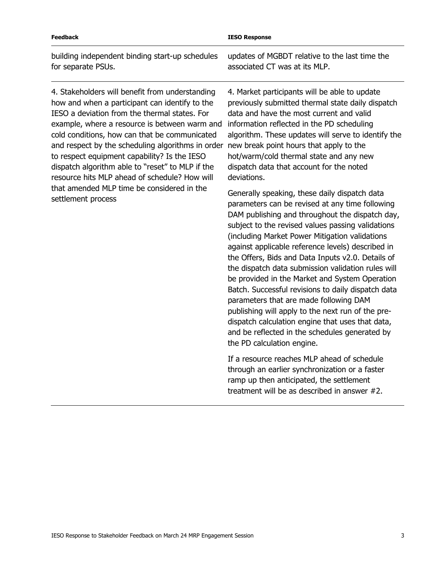#### **Feedback IESO Response**

building independent binding start‐up schedules for separate PSUs.

4. Stakeholders will benefit from understanding how and when a participant can identify to the IESO a deviation from the thermal states. For example, where a resource is between warm and cold conditions, how can that be communicated and respect by the scheduling algorithms in order new break point hours that apply to the to respect equipment capability? Is the IESO dispatch algorithm able to "reset" to MLP if the resource hits MLP ahead of schedule? How will that amended MLP time be considered in the settlement process

updates of MGBDT relative to the last time the associated CT was at its MLP.

4. Market participants will be able to update previously submitted thermal state daily dispatch data and have the most current and valid information reflected in the PD scheduling algorithm. These updates will serve to identify the hot/warm/cold thermal state and any new dispatch data that account for the noted deviations.

Generally speaking, these daily dispatch data parameters can be revised at any time following DAM publishing and throughout the dispatch day, subject to the revised values passing validations (including Market Power Mitigation validations against applicable reference levels) described in the Offers, Bids and Data Inputs v2.0. Details of the dispatch data submission validation rules will be provided in the Market and System Operation Batch. Successful revisions to daily dispatch data parameters that are made following DAM publishing will apply to the next run of the predispatch calculation engine that uses that data, and be reflected in the schedules generated by the PD calculation engine.

If a resource reaches MLP ahead of schedule through an earlier synchronization or a faster ramp up then anticipated, the settlement treatment will be as described in answer #2.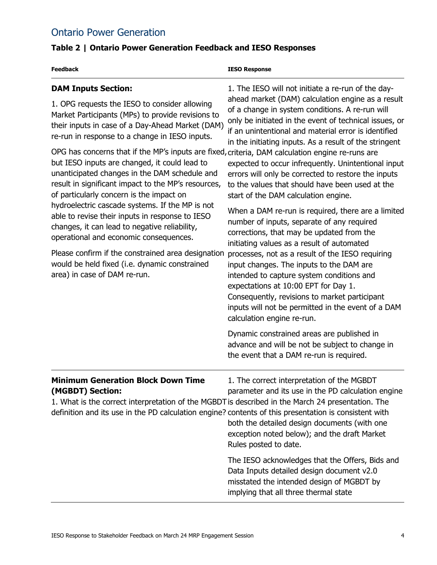### Ontario Power Generation

#### **Table 2 | Ontario Power Generation Feedback and IESO Responses**

| <b>Feedback</b>                                                                                                                                                                                                                                                                                                                                                                                                                                                                                                                                                                                                                                                                                                                                                                                                                                                                         | <b>IESO Response</b>                                                                                                                                                                                                                                                                                                                                                                                                                                                                                                                                                                                                                                                                                                                                                                                                                                                                                                                                                                                                                                                                                                                                                                                                  |
|-----------------------------------------------------------------------------------------------------------------------------------------------------------------------------------------------------------------------------------------------------------------------------------------------------------------------------------------------------------------------------------------------------------------------------------------------------------------------------------------------------------------------------------------------------------------------------------------------------------------------------------------------------------------------------------------------------------------------------------------------------------------------------------------------------------------------------------------------------------------------------------------|-----------------------------------------------------------------------------------------------------------------------------------------------------------------------------------------------------------------------------------------------------------------------------------------------------------------------------------------------------------------------------------------------------------------------------------------------------------------------------------------------------------------------------------------------------------------------------------------------------------------------------------------------------------------------------------------------------------------------------------------------------------------------------------------------------------------------------------------------------------------------------------------------------------------------------------------------------------------------------------------------------------------------------------------------------------------------------------------------------------------------------------------------------------------------------------------------------------------------|
| <b>DAM Inputs Section:</b><br>1. OPG requests the IESO to consider allowing<br>Market Participants (MPs) to provide revisions to<br>their inputs in case of a Day-Ahead Market (DAM)<br>re-run in response to a change in IESO inputs.<br>OPG has concerns that if the MP's inputs are fixed, criteria, DAM calculation engine re-runs are<br>but IESO inputs are changed, it could lead to<br>unanticipated changes in the DAM schedule and<br>result in significant impact to the MP's resources,<br>of particularly concern is the impact on<br>hydroelectric cascade systems. If the MP is not<br>able to revise their inputs in response to IESO<br>changes, it can lead to negative reliability,<br>operational and economic consequences.<br>Please confirm if the constrained area designation<br>would be held fixed (i.e. dynamic constrained<br>area) in case of DAM re-run. | 1. The IESO will not initiate a re-run of the day-<br>ahead market (DAM) calculation engine as a result<br>of a change in system conditions. A re-run will<br>only be initiated in the event of technical issues, or<br>if an unintentional and material error is identified<br>in the initiating inputs. As a result of the stringent<br>expected to occur infrequently. Unintentional input<br>errors will only be corrected to restore the inputs<br>to the values that should have been used at the<br>start of the DAM calculation engine.<br>When a DAM re-run is required, there are a limited<br>number of inputs, separate of any required<br>corrections, that may be updated from the<br>initiating values as a result of automated<br>processes, not as a result of the IESO requiring<br>input changes. The inputs to the DAM are<br>intended to capture system conditions and<br>expectations at 10:00 EPT for Day 1.<br>Consequently, revisions to market participant<br>inputs will not be permitted in the event of a DAM<br>calculation engine re-run.<br>Dynamic constrained areas are published in<br>advance and will be not be subject to change in<br>the event that a DAM re-run is required. |
| <b>Minimum Generation Block Down Time</b><br>(MGBDT) Section:<br>1. What is the correct interpretation of the MGBDT is described in the March 24 presentation. The<br>definition and its use in the PD calculation engine? contents of this presentation is consistent with                                                                                                                                                                                                                                                                                                                                                                                                                                                                                                                                                                                                             | 1. The correct interpretation of the MGBDT<br>parameter and its use in the PD calculation engine<br>both the detailed design documents (with one<br>exception noted below); and the draft Market<br>Rules posted to date.                                                                                                                                                                                                                                                                                                                                                                                                                                                                                                                                                                                                                                                                                                                                                                                                                                                                                                                                                                                             |
|                                                                                                                                                                                                                                                                                                                                                                                                                                                                                                                                                                                                                                                                                                                                                                                                                                                                                         | The IESO acknowledges that the Offers, Bids and<br>Data Inputs detailed design document v2.0<br>misstated the intended design of MGBDT by<br>implying that all three thermal state                                                                                                                                                                                                                                                                                                                                                                                                                                                                                                                                                                                                                                                                                                                                                                                                                                                                                                                                                                                                                                    |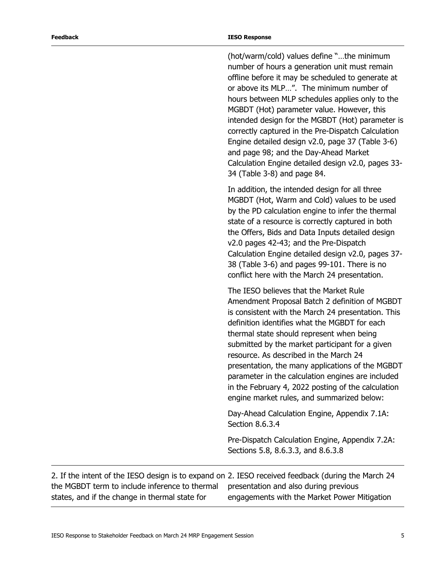(hot/warm/cold) values define "…the minimum number of hours a generation unit must remain offline before it may be scheduled to generate at or above its MLP…". The minimum number of hours between MLP schedules applies only to the MGBDT (Hot) parameter value. However, this intended design for the MGBDT (Hot) parameter is correctly captured in the Pre-Dispatch Calculation Engine detailed design v2.0, page 37 (Table 3-6) and page 98; and the Day-Ahead Market Calculation Engine detailed design v2.0, pages 33- 34 (Table 3-8) and page 84.

In addition, the intended design for all three MGBDT (Hot, Warm and Cold) values to be used by the PD calculation engine to infer the thermal state of a resource is correctly captured in both the Offers, Bids and Data Inputs detailed design v2.0 pages 42-43; and the Pre-Dispatch Calculation Engine detailed design v2.0, pages 37- 38 (Table 3-6) and pages 99-101. There is no conflict here with the March 24 presentation.

The IESO believes that the Market Rule Amendment Proposal Batch 2 definition of MGBDT is consistent with the March 24 presentation. This definition identifies what the MGBDT for each thermal state should represent when being submitted by the market participant for a given resource. As described in the March 24 presentation, the many applications of the MGBDT parameter in the calculation engines are included in the February 4, 2022 posting of the calculation engine market rules, and summarized below:

Day-Ahead Calculation Engine, Appendix 7.1A: Section 8.6.3.4

Pre-Dispatch Calculation Engine, Appendix 7.2A: Sections 5.8, 8.6.3.3, and 8.6.3.8

2. If the intent of the IESO design is to expand on 2. IESO received feedback (during the March 24 ) the MGBDT term to include inference to thermal states, and if the change in thermal state for presentation and also during previous engagements with the Market Power Mitigation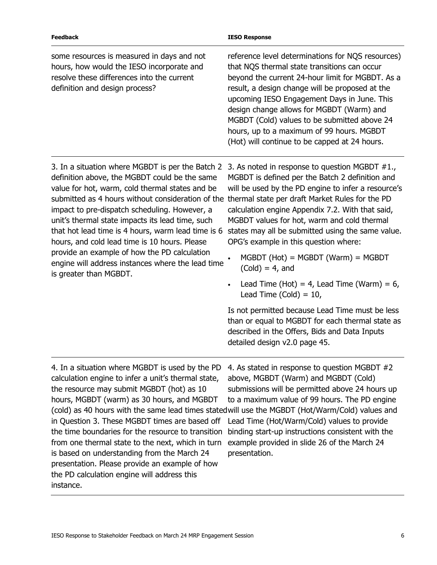| some resources is measured in days and not<br>reference level determinations for NQS resources)                                                                                                                                                                                                                                                                                                                                                                                                                            |  |
|----------------------------------------------------------------------------------------------------------------------------------------------------------------------------------------------------------------------------------------------------------------------------------------------------------------------------------------------------------------------------------------------------------------------------------------------------------------------------------------------------------------------------|--|
| hours, how would the IESO incorporate and<br>that NQS thermal state transitions can occur<br>resolve these differences into the current<br>beyond the current 24-hour limit for MGBDT. As a<br>result, a design change will be proposed at the<br>definition and design process?<br>upcoming IESO Engagement Days in June. This<br>design change allows for MGBDT (Warm) and<br>MGBDT (Cold) values to be submitted above 24<br>hours, up to a maximum of 99 hours. MGBDT<br>(Hot) will continue to be capped at 24 hours. |  |

3. In a situation where MGBDT is per the Batch 2  $\,$  3. As noted in response to question MGBDT #1.,  $\,$ definition above, the MGBDT could be the same value for hot, warm, cold thermal states and be submitted as 4 hours without consideration of the thermal state per draft Market Rules for the PD impact to pre-dispatch scheduling. However, a unit's thermal state impacts its lead time, such hours, and cold lead time is 10 hours. Please provide an example of how the PD calculation engine will address instances where the lead time is greater than MGBDT.

that hot lead time is 4 hours, warm lead time is 6 states may all be submitted using the same value. MGBDT is defined per the Batch 2 definition and will be used by the PD engine to infer a resource's calculation engine Appendix 7.2. With that said, MGBDT values for hot, warm and cold thermal OPG's example in this question where:

- MGBDT (Hot) = MGBDT (Warm) = MGBDT  $(Cold) = 4$ , and
- Lead Time (Hot) =  $4$ , Lead Time (Warm) =  $6$ , Lead Time (Cold) =  $10$ ,

Is not permitted because Lead Time must be less than or equal to MGBDT for each thermal state as described in the Offers, Bids and Data Inputs detailed design v2.0 page 45.

4. In a situation where MGBDT is used by the PD calculation engine to infer a unit's thermal state, the resource may submit MGBDT (hot) as 10 hours, MGBDT (warm) as 30 hours, and MGBDT in Question 3. These MGBDT times are based off the time boundaries for the resource to transition from one thermal state to the next, which in turn is based on understanding from the March 24 presentation. Please provide an example of how the PD calculation engine will address this instance.

(cold) as 40 hours with the same lead times statedwill use the MGBDT (Hot/Warm/Cold) values and 4. As stated in response to question MGBDT #2 above, MGBDT (Warm) and MGBDT (Cold) submissions will be permitted above 24 hours up to a maximum value of 99 hours. The PD engine Lead Time (Hot/Warm/Cold) values to provide binding start-up instructions consistent with the example provided in slide 26 of the March 24 presentation.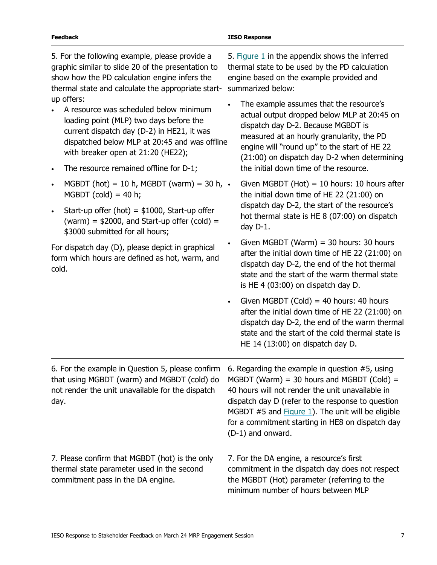5. For the following example, please provide a graphic similar to slide 20 of the presentation to show how the PD calculation engine infers the thermal state and calculate the appropriate startup offers:

- A resource was scheduled below minimum loading point (MLP) two days before the current dispatch day (D-2) in HE21, it was dispatched below MLP at 20:45 and was offline with breaker open at 21:20 (HE22);
- The resource remained offline for D-1;
- MGBDT (hot) = 10 h, MGBDT (warm) = 30 h,  $\cdot$  $MGBDT$  (cold) = 40 h;
- Start-up offer (hot)  $=$  \$1000, Start-up offer (warm) =  $$2000$ , and Start-up offer (cold) = \$3000 submitted for all hours;

For dispatch day (D), please depict in graphical form which hours are defined as hot, warm, and cold.

5. [Figure 1](#page-13-0) in the appendix shows the inferred thermal state to be used by the PD calculation engine based on the example provided and summarized below:

- The example assumes that the resource's actual output dropped below MLP at 20:45 on dispatch day D-2. Because MGBDT is measured at an hourly granularity, the PD engine will "round up" to the start of HE 22 (21:00) on dispatch day D-2 when determining the initial down time of the resource.
- Given MGBDT (Hot) =  $10$  hours:  $10$  hours after the initial down time of HE 22 (21:00) on dispatch day D-2, the start of the resource's hot thermal state is HE 8 (07:00) on dispatch day D-1.
- Given MGBDT (Warm) =  $30$  hours:  $30$  hours after the initial down time of HE 22 (21:00) on dispatch day D-2, the end of the hot thermal state and the start of the warm thermal state is HE 4 (03:00) on dispatch day D.
- Given MGBDT (Cold) = 40 hours: 40 hours after the initial down time of HE 22 (21:00) on dispatch day D-2, the end of the warm thermal state and the start of the cold thermal state is HE 14 (13:00) on dispatch day D.

minimum number of hours between MLP

| 6. For the example in Question 5, please confirm<br>that using MGBDT (warm) and MGBDT (cold) do<br>not render the unit unavailable for the dispatch<br>day. | 6. Regarding the example in question $#5$ , using<br>MGBDT (Warm) = 30 hours and MGBDT (Cold) =<br>40 hours will not render the unit unavailable in<br>dispatch day D (refer to the response to question<br>MGBDT #5 and Figure 1). The unit will be eligible<br>for a commitment starting in HE8 on dispatch day<br>(D-1) and onward. |
|-------------------------------------------------------------------------------------------------------------------------------------------------------------|----------------------------------------------------------------------------------------------------------------------------------------------------------------------------------------------------------------------------------------------------------------------------------------------------------------------------------------|
| 7. Please confirm that MGBDT (hot) is the only                                                                                                              | 7. For the DA engine, a resource's first                                                                                                                                                                                                                                                                                               |
| thermal state parameter used in the second                                                                                                                  | commitment in the dispatch day does not respect                                                                                                                                                                                                                                                                                        |
| commitment pass in the DA engine.                                                                                                                           | the MGBDT (Hot) parameter (referring to the                                                                                                                                                                                                                                                                                            |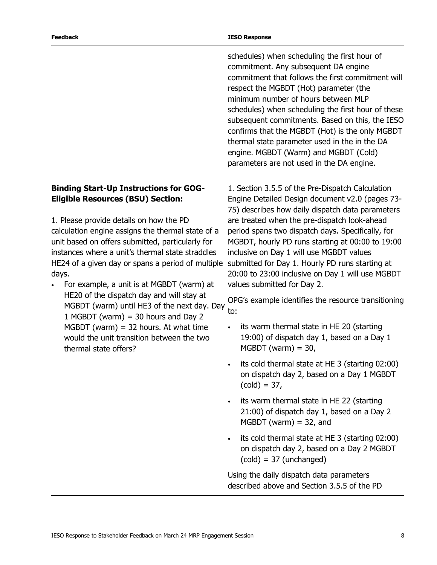#### **Feedback IESO Response**

schedules) when scheduling the first hour of commitment. Any subsequent DA engine commitment that follows the first commitment will respect the MGBDT (Hot) parameter (the minimum number of hours between MLP schedules) when scheduling the first hour of these subsequent commitments. Based on this, the IESO confirms that the MGBDT (Hot) is the only MGBDT thermal state parameter used in the in the DA engine. MGBDT (Warm) and MGBDT (Cold) parameters are not used in the DA engine.

#### **Binding Start-Up Instructions for GOG-Eligible Resources (BSU) Section:**

1. Please provide details on how the PD calculation engine assigns the thermal state of a unit based on offers submitted, particularly for instances where a unit's thermal state straddles HE24 of a given day or spans a period of multiple submitted for Day 1. Hourly PD runs starting at days.

• For example, a unit is at MGBDT (warm) at HE20 of the dispatch day and will stay at MGBDT (warm) until HE3 of the next day. Day 1 MGBDT (warm) = 30 hours and Day 2

 $MGBDT$  (warm) = 32 hours. At what time would the unit transition between the two thermal state offers?

1. Section 3.5.5 of the Pre-Dispatch Calculation Engine Detailed Design document v2.0 (pages 73- 75) describes how daily dispatch data parameters are treated when the pre-dispatch look-ahead period spans two dispatch days. Specifically, for MGBDT, hourly PD runs starting at 00:00 to 19:00 inclusive on Day 1 will use MGBDT values 20:00 to 23:00 inclusive on Day 1 will use MGBDT values submitted for Day 2.

OPG's example identifies the resource transitioning to:

- its warm thermal state in HE 20 (starting 19:00) of dispatch day 1, based on a Day 1  $MGBDT$  (warm) = 30,
- its cold thermal state at HE 3 (starting 02:00) on dispatch day 2, based on a Day 1 MGBDT  $(cold) = 37,$
- its warm thermal state in HE 22 (starting 21:00) of dispatch day 1, based on a Day 2  $MGBDT$  (warm) = 32, and
- its cold thermal state at HE 3 (starting 02:00) on dispatch day 2, based on a Day 2 MGBDT  $(cold) = 37$  (unchanged)

Using the daily dispatch data parameters described above and Section 3.5.5 of the PD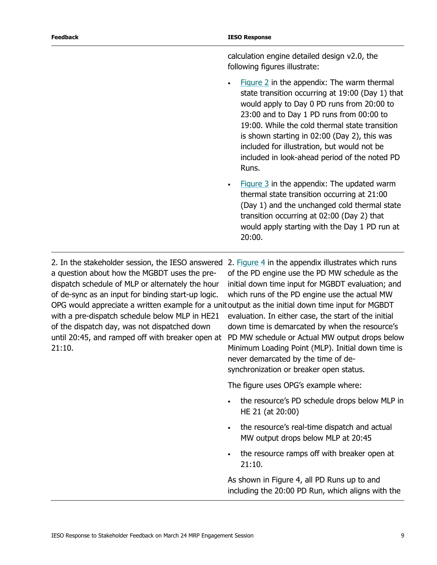calculation engine detailed design v2.0, the following figures illustrate:

- [Figure 2](#page-14-0) in the appendix: The warm thermal state transition occurring at 19:00 (Day 1) that would apply to Day 0 PD runs from 20:00 to 23:00 and to Day 1 PD runs from 00:00 to 19:00. While the cold thermal state transition is shown starting in 02:00 (Day 2), this was included for illustration, but would not be included in look-ahead period of the noted PD Runs.
- Figure  $3$  in the appendix: The updated warm thermal state transition occurring at 21:00 (Day 1) and the unchanged cold thermal state transition occurring at 02:00 (Day 2) that would apply starting with the Day 1 PD run at 20:00.

2. In the stakeholder session, the IESO answered 2. [Figure 4](#page-16-0) in the appendix illustrates which runs a question about how the MGBDT uses the predispatch schedule of MLP or alternately the hour of de-sync as an input for binding start-up logic. OPG would appreciate a written example for a unitoutput as the initial down time input for MGBDT with a pre-dispatch schedule below MLP in HE21 of the dispatch day, was not dispatched down until 20:45, and ramped off with breaker open at 21:10.

of the PD engine use the PD MW schedule as the initial down time input for MGBDT evaluation; and which runs of the PD engine use the actual MW evaluation. In either case, the start of the initial down time is demarcated by when the resource's PD MW schedule or Actual MW output drops below Minimum Loading Point (MLP). Initial down time is never demarcated by the time of desynchronization or breaker open status.

The figure uses OPG's example where:

- the resource's PD schedule drops below MLP in HE 21 (at 20:00)
- the resource's real-time dispatch and actual MW output drops below MLP at 20:45
- the resource ramps off with breaker open at 21:10.

As shown in Figure 4, all PD Runs up to and including the 20:00 PD Run, which aligns with the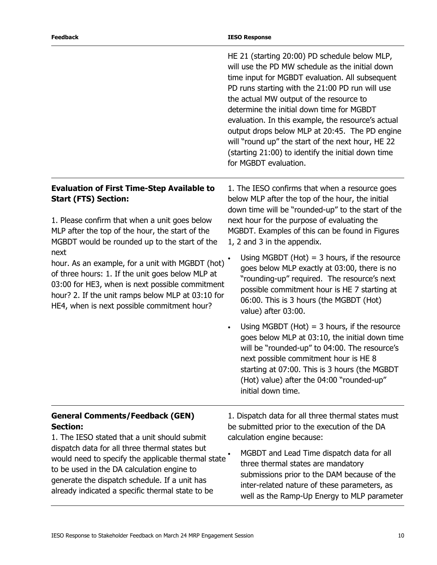| Feedback                                                                                                                                                                                                                                                                                                                                                             | <b>IESO Response</b>                                                                                                                                                                                                                                                                                                                                                                                                                                                                                                                       |
|----------------------------------------------------------------------------------------------------------------------------------------------------------------------------------------------------------------------------------------------------------------------------------------------------------------------------------------------------------------------|--------------------------------------------------------------------------------------------------------------------------------------------------------------------------------------------------------------------------------------------------------------------------------------------------------------------------------------------------------------------------------------------------------------------------------------------------------------------------------------------------------------------------------------------|
|                                                                                                                                                                                                                                                                                                                                                                      | HE 21 (starting 20:00) PD schedule below MLP,<br>will use the PD MW schedule as the initial down<br>time input for MGBDT evaluation. All subsequent<br>PD runs starting with the 21:00 PD run will use<br>the actual MW output of the resource to<br>determine the initial down time for MGBDT<br>evaluation. In this example, the resource's actual<br>output drops below MLP at 20:45. The PD engine<br>will "round up" the start of the next hour, HE 22<br>(starting 21:00) to identify the initial down time<br>for MGBDT evaluation. |
| <b>Evaluation of First Time-Step Available to</b><br><b>Start (FTS) Section:</b><br>1. Please confirm that when a unit goes below<br>MLP after the top of the hour, the start of the<br>MGBDT would be rounded up to the start of the                                                                                                                                | 1. The IESO confirms that when a resource goes<br>below MLP after the top of the hour, the initial<br>down time will be "rounded-up" to the start of the<br>next hour for the purpose of evaluating the<br>MGBDT. Examples of this can be found in Figures<br>1, 2 and 3 in the appendix.                                                                                                                                                                                                                                                  |
| next<br>hour. As an example, for a unit with MGBDT (hot)<br>of three hours: 1. If the unit goes below MLP at<br>03:00 for HE3, when is next possible commitment<br>hour? 2. If the unit ramps below MLP at 03:10 for<br>HE4, when is next possible commitment hour?                                                                                                  | Using MGBDT (Hot) = $3$ hours, if the resource<br>goes below MLP exactly at 03:00, there is no<br>"rounding-up" required. The resource's next<br>possible commitment hour is HE 7 starting at<br>06:00. This is 3 hours (the MGBDT (Hot)<br>value) after 03:00.                                                                                                                                                                                                                                                                            |
|                                                                                                                                                                                                                                                                                                                                                                      | Using MGBDT (Hot) = $3$ hours, if the resource<br>goes below MLP at 03:10, the initial down time<br>will be "rounded-up" to 04:00. The resource's<br>next possible commitment hour is HE 8<br>starting at 07:00. This is 3 hours (the MGBDT<br>(Hot) value) after the 04:00 "rounded-up"<br>initial down time.                                                                                                                                                                                                                             |
| <b>General Comments/Feedback (GEN)</b><br><b>Section:</b><br>1. The IESO stated that a unit should submit<br>dispatch data for all three thermal states but<br>would need to specify the applicable thermal state<br>to be used in the DA calculation engine to<br>generate the dispatch schedule. If a unit has<br>already indicated a specific thermal state to be | 1. Dispatch data for all three thermal states must<br>be submitted prior to the execution of the DA<br>calculation engine because:<br>MGBDT and Lead Time dispatch data for all<br>three thermal states are mandatory<br>submissions prior to the DAM because of the<br>inter-related nature of these parameters, as<br>well as the Ramp-Up Energy to MLP parameter                                                                                                                                                                        |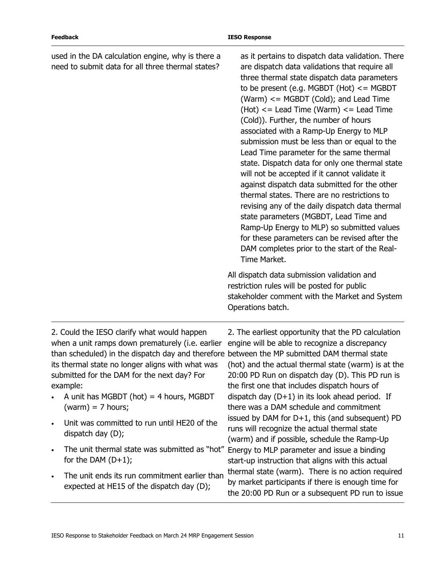| as it pertains to dispatch data validation. There<br>are dispatch data validations that require all<br>three thermal state dispatch data parameters<br>to be present (e.g. MGBDT (Hot) $\leq$ = MGBDT<br>(Warm) <= MGBDT (Cold); and Lead Time<br>$(Hot) \leq Lead Time (Warm) \leq Lead Time$                                                                                                                                                                                                                                                                                                                                                 |
|------------------------------------------------------------------------------------------------------------------------------------------------------------------------------------------------------------------------------------------------------------------------------------------------------------------------------------------------------------------------------------------------------------------------------------------------------------------------------------------------------------------------------------------------------------------------------------------------------------------------------------------------|
| (Cold)). Further, the number of hours<br>associated with a Ramp-Up Energy to MLP<br>submission must be less than or equal to the<br>Lead Time parameter for the same thermal<br>state. Dispatch data for only one thermal state<br>will not be accepted if it cannot validate it<br>against dispatch data submitted for the other<br>thermal states. There are no restrictions to<br>revising any of the daily dispatch data thermal<br>state parameters (MGBDT, Lead Time and<br>Ramp-Up Energy to MLP) so submitted values<br>for these parameters can be revised after the<br>DAM completes prior to the start of the Real-<br>Time Market. |
| All dispatch data submission validation and<br>restriction rules will be posted for public<br>stakeholder comment with the Market and System<br>Operations batch.                                                                                                                                                                                                                                                                                                                                                                                                                                                                              |
|                                                                                                                                                                                                                                                                                                                                                                                                                                                                                                                                                                                                                                                |

|           | 2. Could the IESO clarify what would happen<br>when a unit ramps down prematurely (i.e. earlier<br>than scheduled) in the dispatch day and therefore between the MP submitted DAM thermal state | 2. The earliest opportunity that the PD calculation<br>engine will be able to recognize a discrepancy                                                       |
|-----------|-------------------------------------------------------------------------------------------------------------------------------------------------------------------------------------------------|-------------------------------------------------------------------------------------------------------------------------------------------------------------|
|           | its thermal state no longer aligns with what was                                                                                                                                                | (hot) and the actual thermal state (warm) is at the                                                                                                         |
|           | submitted for the DAM for the next day? For                                                                                                                                                     | 20:00 PD Run on dispatch day (D). This PD run is                                                                                                            |
|           | example:                                                                                                                                                                                        | the first one that includes dispatch hours of                                                                                                               |
| $\bullet$ | A unit has MGBDT (hot) = 4 hours, MGBDT                                                                                                                                                         | dispatch day $(D+1)$ in its look ahead period. If                                                                                                           |
|           | $(warm) = 7 hours;$                                                                                                                                                                             | there was a DAM schedule and commitment                                                                                                                     |
|           | Unit was committed to run until HE20 of the<br>dispatch day $(D)$ ;                                                                                                                             | issued by DAM for $D+1$ , this (and subsequent) PD<br>runs will recognize the actual thermal state<br>(warm) and if possible, schedule the Ramp-Up          |
| $\bullet$ | The unit thermal state was submitted as "hot"                                                                                                                                                   | Energy to MLP parameter and issue a binding                                                                                                                 |
|           | for the DAM $(D+1)$ ;                                                                                                                                                                           | start-up instruction that aligns with this actual                                                                                                           |
| $\bullet$ | The unit ends its run commitment earlier than<br>expected at HE15 of the dispatch day (D);                                                                                                      | thermal state (warm). There is no action required<br>by market participants if there is enough time for<br>the 20:00 PD Run or a subsequent PD run to issue |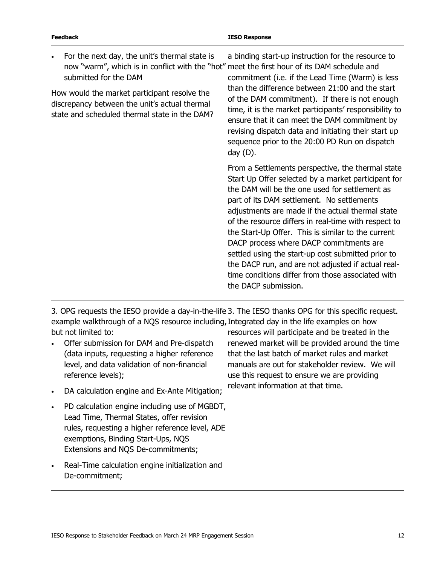| Feedback                                                                                                                                                                                                                                                                                                                | <b>IESO Response</b>                                                                                                                                                                                                                                                                                                                                                                                                                                                                                                                                                                                           |
|-------------------------------------------------------------------------------------------------------------------------------------------------------------------------------------------------------------------------------------------------------------------------------------------------------------------------|----------------------------------------------------------------------------------------------------------------------------------------------------------------------------------------------------------------------------------------------------------------------------------------------------------------------------------------------------------------------------------------------------------------------------------------------------------------------------------------------------------------------------------------------------------------------------------------------------------------|
| For the next day, the unit's thermal state is<br>now "warm", which is in conflict with the "hot" meet the first hour of its DAM schedule and<br>submitted for the DAM<br>How would the market participant resolve the<br>discrepancy between the unit's actual thermal<br>state and scheduled thermal state in the DAM? | a binding start-up instruction for the resource to<br>commitment (i.e. if the Lead Time (Warm) is less<br>than the difference between 21:00 and the start<br>of the DAM commitment). If there is not enough<br>time, it is the market participants' responsibility to<br>ensure that it can meet the DAM commitment by<br>revising dispatch data and initiating their start up<br>sequence prior to the 20:00 PD Run on dispatch<br>day $(D)$ .                                                                                                                                                                |
|                                                                                                                                                                                                                                                                                                                         | From a Settlements perspective, the thermal state<br>Start Up Offer selected by a market participant for<br>the DAM will be the one used for settlement as<br>part of its DAM settlement. No settlements<br>adjustments are made if the actual thermal state<br>of the resource differs in real-time with respect to<br>the Start-Up Offer. This is similar to the current<br>DACP process where DACP commitments are<br>settled using the start-up cost submitted prior to<br>the DACP run, and are not adjusted if actual real-<br>time conditions differ from those associated with<br>the DACP submission. |

3. OPG requests the IESO provide a day-in-the-life 3. The IESO thanks OPG for this specific request. example walkthrough of a NQS resource including, Integrated day in the life examples on how but not limited to:

• Offer submission for DAM and Pre-dispatch (data inputs, requesting a higher reference level, and data validation of non-financial reference levels);

resources will participate and be treated in the renewed market will be provided around the time that the last batch of market rules and market manuals are out for stakeholder review. We will use this request to ensure we are providing relevant information at that time.

- DA calculation engine and Ex-Ante Mitigation;
- PD calculation engine including use of MGBDT, Lead Time, Thermal States, offer revision rules, requesting a higher reference level, ADE exemptions, Binding Start-Ups, NQS Extensions and NQS De-commitments;
- Real-Time calculation engine initialization and De-commitment;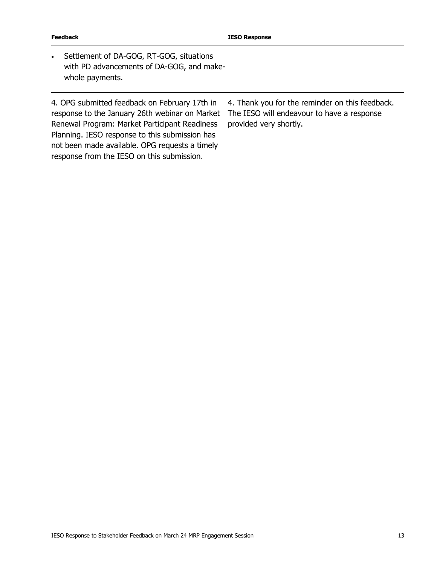| <b>Feedback</b>                                                                                                                                                                                                                                                                                    | <b>IESO Response</b>                                                                                                    |  |
|----------------------------------------------------------------------------------------------------------------------------------------------------------------------------------------------------------------------------------------------------------------------------------------------------|-------------------------------------------------------------------------------------------------------------------------|--|
| Settlement of DA-GOG, RT-GOG, situations<br>$\bullet$<br>with PD advancements of DA-GOG, and make-<br>whole payments.                                                                                                                                                                              |                                                                                                                         |  |
| 4. OPG submitted feedback on February 17th in<br>response to the January 26th webinar on Market<br>Renewal Program: Market Participant Readiness<br>Planning. IESO response to this submission has<br>not been made available. OPG requests a timely<br>response from the IESO on this submission. | 4. Thank you for the reminder on this feedback.<br>The IESO will endeavour to have a response<br>provided very shortly. |  |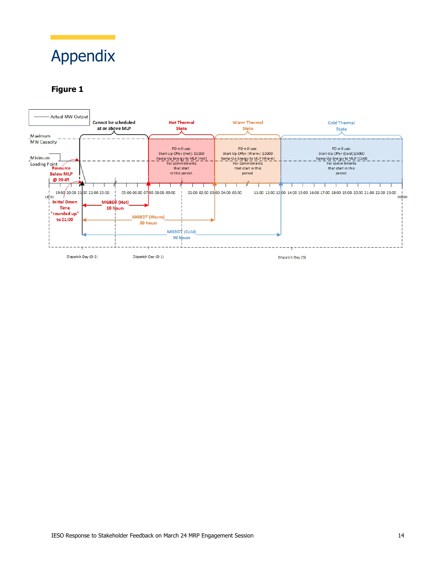# Appendix

#### <span id="page-13-0"></span>**Figure 1**

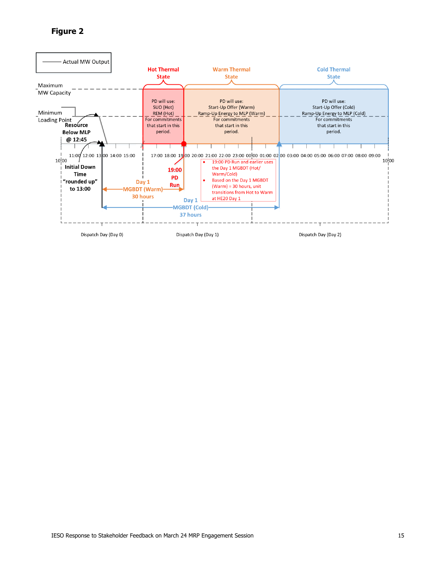<span id="page-14-0"></span>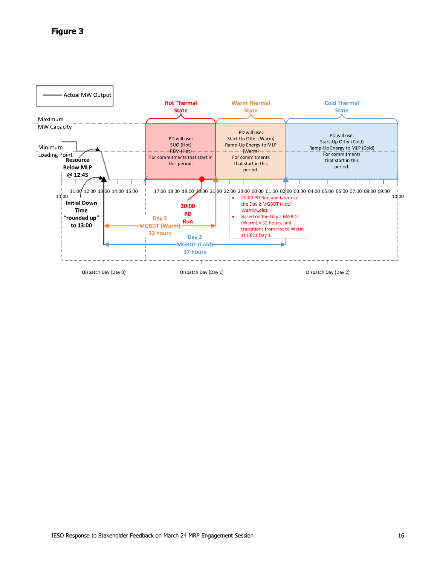<span id="page-15-0"></span>